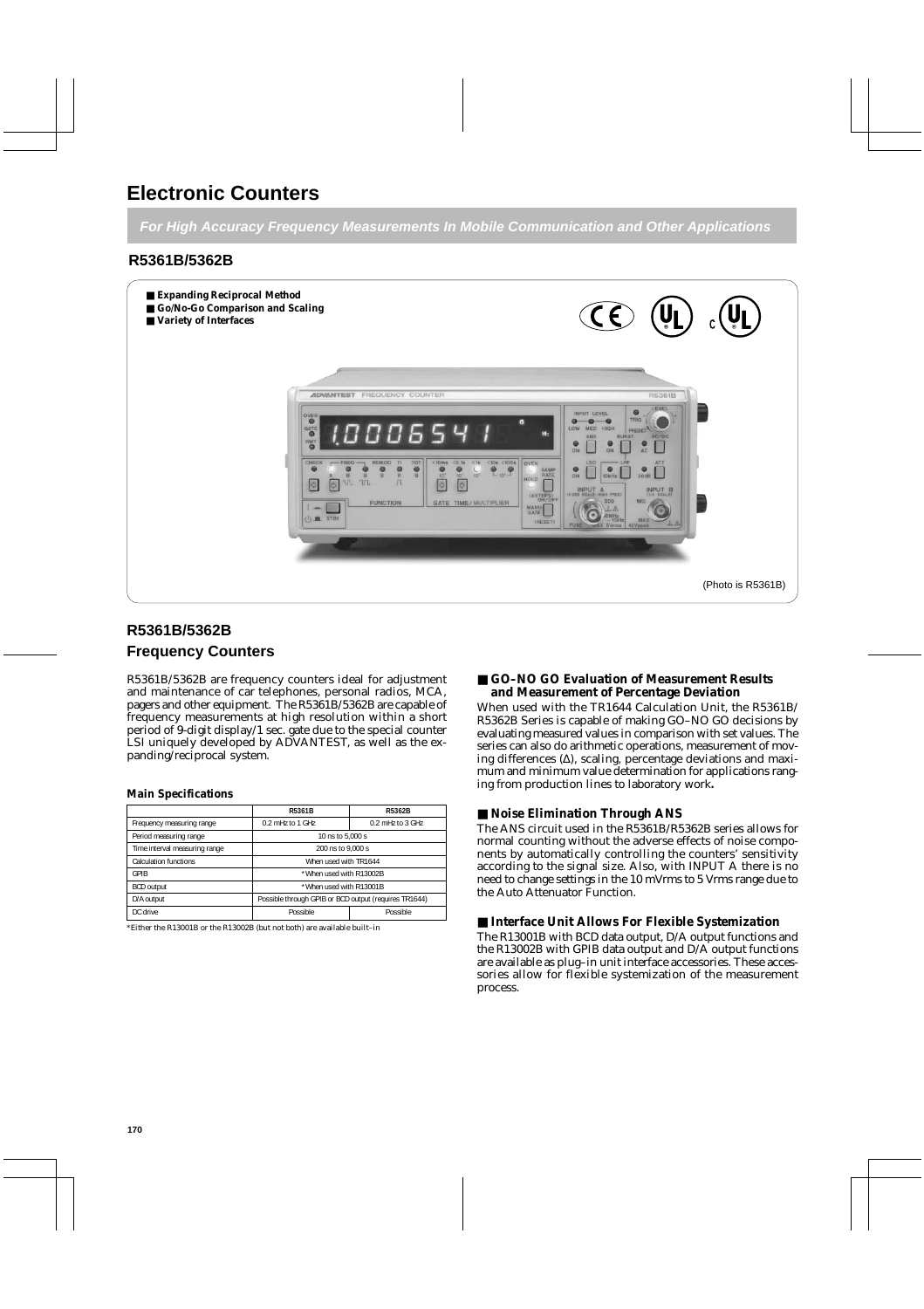**For High Accuracy Frequency Measurements In Mobile Communication and Other Applications**

# **R5361B/5362B**



# **R5361B/5362B**

# **Frequency Counters**

R5361B/5362B are frequency counters ideal for adjustment and maintenance of car telephones, personal radios, MCA, pagers and other equipment. The R5361B/5362B are capable of frequency measurements at high resolution within a short period of 9-digit display/1 sec. gate due to the special counter LSI uniquely developed by ADVANTEST, as well as the expanding/reciprocal system.

#### **Main Specifications**

|                               | R5361B                                                | R5362B               |  |
|-------------------------------|-------------------------------------------------------|----------------------|--|
| Frequency measuring range     | $0.2$ mHz to 1 GHz                                    | $0.2$ mHz to $3$ GHz |  |
| Period measuring range        | 10 ns to 5,000 s                                      |                      |  |
| Time interval measuring range | 200 ns to 9,000 s                                     |                      |  |
| <b>Calculation functions</b>  | When used with TR1644                                 |                      |  |
| GPIB                          | *When used with R13002B                               |                      |  |
| <b>BCD</b> output             | *When used with R13001B                               |                      |  |
| D/A output                    | Possible through GPIB or BCD output (requires TR1644) |                      |  |
| DC drive<br>Possible          |                                                       | Possible             |  |

\*Either the R13001B or the R13002B (but not both) are available built–in

### ■ **GO-NO GO Evaluation of Measurement Results and Measurement of Percentage Deviation**

When used with the TR1644 Calculation Unit, the R5361B/ R5362B Series is capable of making GO–NO GO decisions by evaluating measured values in comparison with set values. The series can also do arithmetic operations, measurement of moving differences (∆), scaling, percentage deviations and maximum and minimum value determination for applications ranging from production lines to laboratory work**.**

#### ■ **Noise Elimination Through ANS**

The ANS circuit used in the R5361B/R5362B series allows for normal counting without the adverse effects of noise components by automatically controlling the counters' sensitivity according to the signal size. Also, with INPUT A there is no need to change settings in the 10 mVrms to 5 Vrms range due to the Auto Attenuator Function.

### ■ **Interface Unit Allows For Flexible Systemization**

The R13001B with BCD data output, D/A output functions and the R13002B with GPIB data output and D/A output functions are available as plug–in unit interface accessories. These accessories allow for flexible systemization of the measurement process.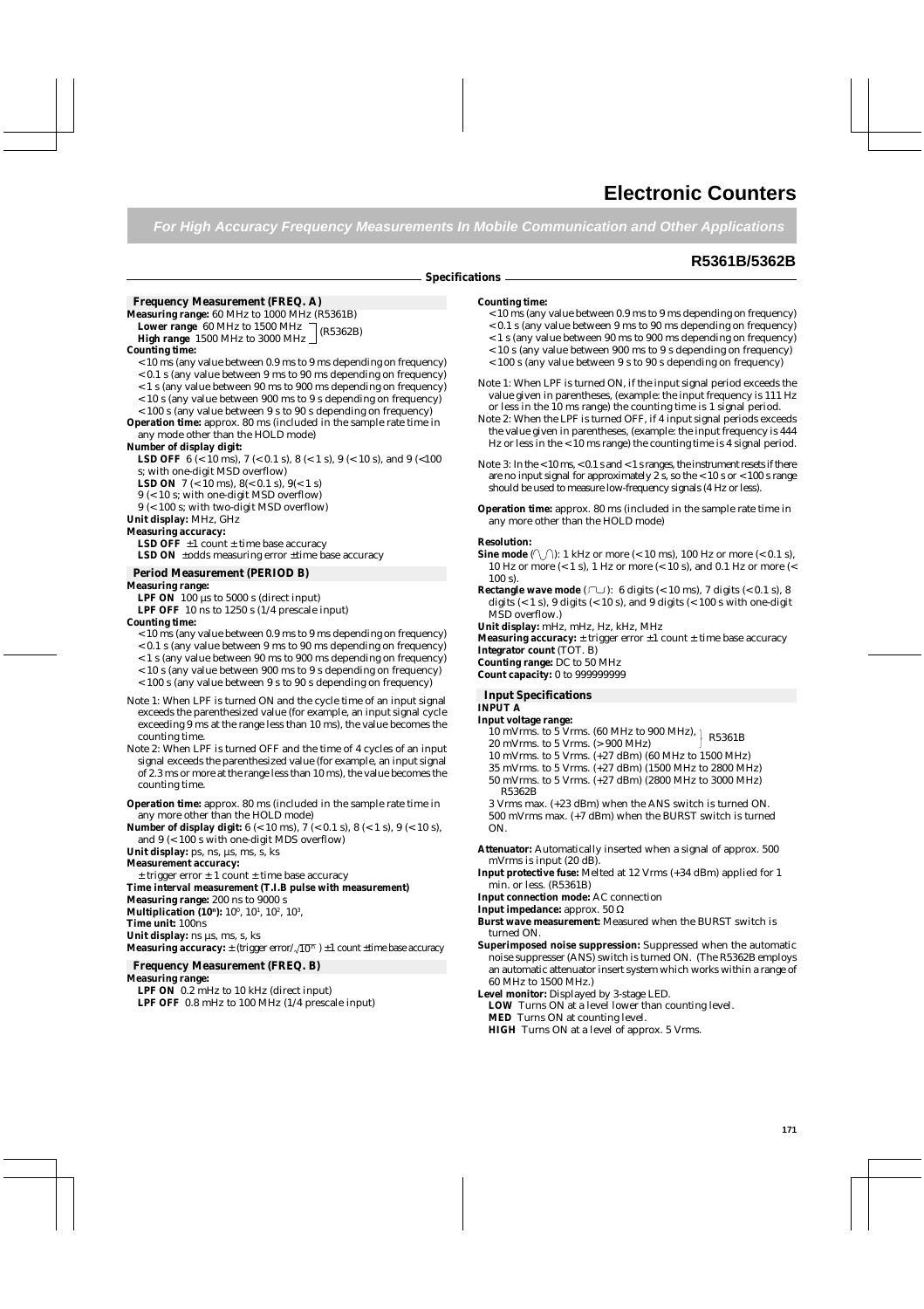**For High Accuracy Frequency Measurements In Mobile Communication and Other Applications**

## **R5361B/5362B**

#### **Specifications**

#### **Frequency Measurement (FREQ. A)**

**Measuring range:** 60 MHz to 1000 MHz (R5361B)

(R5362B) **Lower range** 60 MHz to 1500 MHz **High range** 1500 MHz to 3000 MHz

#### **Counting time:**

- $<$  10 ms (any value between 0.9 ms to 9 ms depending on frequency)
- < 0.1 s (any value between 9 ms to 90 ms depending on frequency)
- < 1 s (any value between 90 ms to 900 ms depending on frequency)
- < 10 s (any value between 900 ms to 9 s depending on frequency)
- < 100 s (any value between 9 s to 90 s depending on frequency)

**Operation time:** approx. 80 ms (included in the sample rate time in any mode other than the HOLD mode)

#### **Number of display digit:**

**LSD OFF** 6 (< 10 ms), 7 (< 0.1 s), 8 (< 1 s), 9 (< 10 s), and 9 (< 100 s; with one-digit MSD overflow)

**LSD ON**  $7 \leq 10$  ms),  $8 \leq 0.1$  s),  $9 \leq 1$  s)

9 (< 10 s; with one-digit MSD overflow)

9 (< 100 s; with two-digit MSD overflow)

**Unit display:** MHz, GHz

#### **Measuring accuracy:**

**LSD OFF**  $\pm 1$  count  $\pm$  time base accuracy LSD ON  $\pm$ odds measuring error  $\pm$ time base accuracy

### **Period Measurement (PERIOD B)**

#### **Measuring range:**

**LPF ON** 100  $\mu$ s to 5000 s (direct input)

**LPF OFF** 10 ns to 1250 s (1/4 prescale input)

#### **Counting time:**

- < 10 ms (any value between 0.9 ms to 9 ms depending on frequency)
- < 0.1 s (any value between 9 ms to 90 ms depending on frequency)
- < 1 s (any value between 90 ms to 900 ms depending on frequency)
- < 10 s (any value between 900 ms to 9 s depending on frequency)
- < 100 s (any value between 9 s to 90 s depending on frequency)
- Note 1: When LPF is turned ON and the cycle time of an input signal exceeds the parenthesized value (for example, an input signal cycle exceeding 9 ms at the range less than 10 ms), the value becomes the counting time.
- Note 2: When LPF is turned OFF and the time of 4 cycles of an input signal exceeds the parenthesized value (for example, an input signal of 2.3 ms or more at the range less than 10 ms), the value becomes the counting time.
- **Operation time:** approx. 80 ms (included in the sample rate time in any more other than the HOLD mode)
- **Number of display digit:** 6 (< 10 ms), 7 (< 0.1 s), 8 (< 1 s), 9 (< 10 s), and 9 (< 100 s with one-digit MDS overflow)

Unit display: ps, ns, µs, ms, s, ks

**Measurement accuracy:**

 $±$  trigger error  $±$  1 count  $±$  time base accuracy

**Time interval measurement (T.I.B pulse with measurement)**

**Measuring range:** 200 ns to 9000 s

**Multiplication (10ª):** 10º, 10ʲ, 10º, 10<sup>3</sup>, **Time unit:** 100ns

Unit display: ns  $\mu$ s, ms, s, ks

**Measuring accuracy:**  $\pm$  (trigger error/ $\sqrt{10^n}$  )  $\pm 1$  count  $\pm$ time base accuracy

# **Frequency Measurement (FREQ. B)**

#### **Measuring range:**

**LPF ON** 0.2 mHz to 10 kHz (direct input)

**LPF OFF** 0.8 mHz to 100 MHz (1/4 prescale input)

#### **Counting time:**

- < 10 ms (any value between 0.9 ms to 9 ms depending on frequency)
- < 0.1 s (any value between 9 ms to 90 ms depending on frequency)
- < 1 s (any value between 90 ms to 900 ms depending on frequency) < 10 s (any value between 900 ms to 9 s depending on frequency)
- < 100 s (any value between 9 s to 90 s depending on frequency)
- Note 1: When LPF is turned ON, if the input signal period exceeds the value given in parentheses, (example: the input frequency is 111 Hz or less in the 10 ms range) the counting time is 1 signal period.
- Note 2: When the LPF is turned OFF, if 4 input signal periods exceeds the value given in parentheses, (example: the input frequency is 444 Hz or less in the < 10 ms range) the counting time is 4 signal period.
- Note 3: In the < 10 ms, < 0.1 s and < 1 s ranges, the instrument resets if there are no input signal for approximately  $2 \times s$ , so the < 10 s or < 100 s range should be used to measure low-frequency signals (4 Hz or less).
- **Operation time:** approx. 80 ms (included in the sample rate time in any more other than the HOLD mode)

#### **Resolution:**

- **Sine mode**  $(\sqrt{\ } )$ : 1 kHz or more (< 10 ms), 100 Hz or more (< 0.1 s), 10 Hz or more (< 1 s), 1 Hz or more (< 10 s), and 0.1 Hz or more (< 100 s).
- **Rectangle wave mode**  $(\Box \Box)$ : 6 digits  $( $10 \text{ ms}$ ), 7$  digits  $( $0.1 \text{ s}$ ), 8$ digits  $(< 1 \text{ s})$ , 9 digits  $(< 10 \text{ s})$ , and 9 digits  $(< 100 \text{ s}$  with one-digit MSD overflow.)
- **Unit display:** mHz, mHz, Hz, kHz, MHz
- **Measuring accuracy:**  $\pm$  trigger error  $\pm 1$  count  $\pm$  time base accuracy
- **Integrator count** (TOT. B)
- **Counting range:** DC to 50 MHz
- **Count capacity:** 0 to 999999999

#### **Input Specifications**

#### **INPUT A**

- **Input voltage range:**
	- 10 mVrms. to 5 Vrms.  $(60 \text{ MHz to } 900 \text{ MHz})$ , R5361B<br>20 mVrms. to 5 Vrms.  $(5.000 \text{ MHz})$
	- 20 mVrms. to 5 Vrms. (> 900 MHz)
	- 10 mVrms. to 5 Vrms. (+27 dBm) (60 MHz to 1500 MHz)
	- 35 mVrms. to 5 Vrms. (+27 dBm) (1500 MHz to 2800 MHz)
	- 50 mVrms. to 5 Vrms. (+27 dBm) (2800 MHz to 3000 MHz) R5362B

3 Vrms max. (+23 dBm) when the ANS switch is turned ON. 500 mVrms max. (+7 dBm) when the BURST switch is turned ON.

- **Attenuator:** Automatically inserted when a signal of approx. 500 mVrms is input (20 dB).
- **Input protective fuse:** Melted at 12 Vrms (+34 dBm) applied for 1 min. or less. (R5361B)
- **Input connection mode:** AC connection
- **Input impedance:** approx. 50 Ω
- **Burst wave measurement:** Measured when the BURST switch is turned ON.
- **Superimposed noise suppression:** Suppressed when the automatic noise suppresser (ANS) switch is turned ON. (The R5362B employs an automatic attenuator insert system which works within a range of 60 MHz to 1500 MHz.)
- **Level monitor:** Displayed by 3-stage LED.
- **LOW** Turns ON at a level lower than counting level. **MED** Turns ON at counting level. **HIGH** Turns ON at a level of approx. 5 Vrms.
-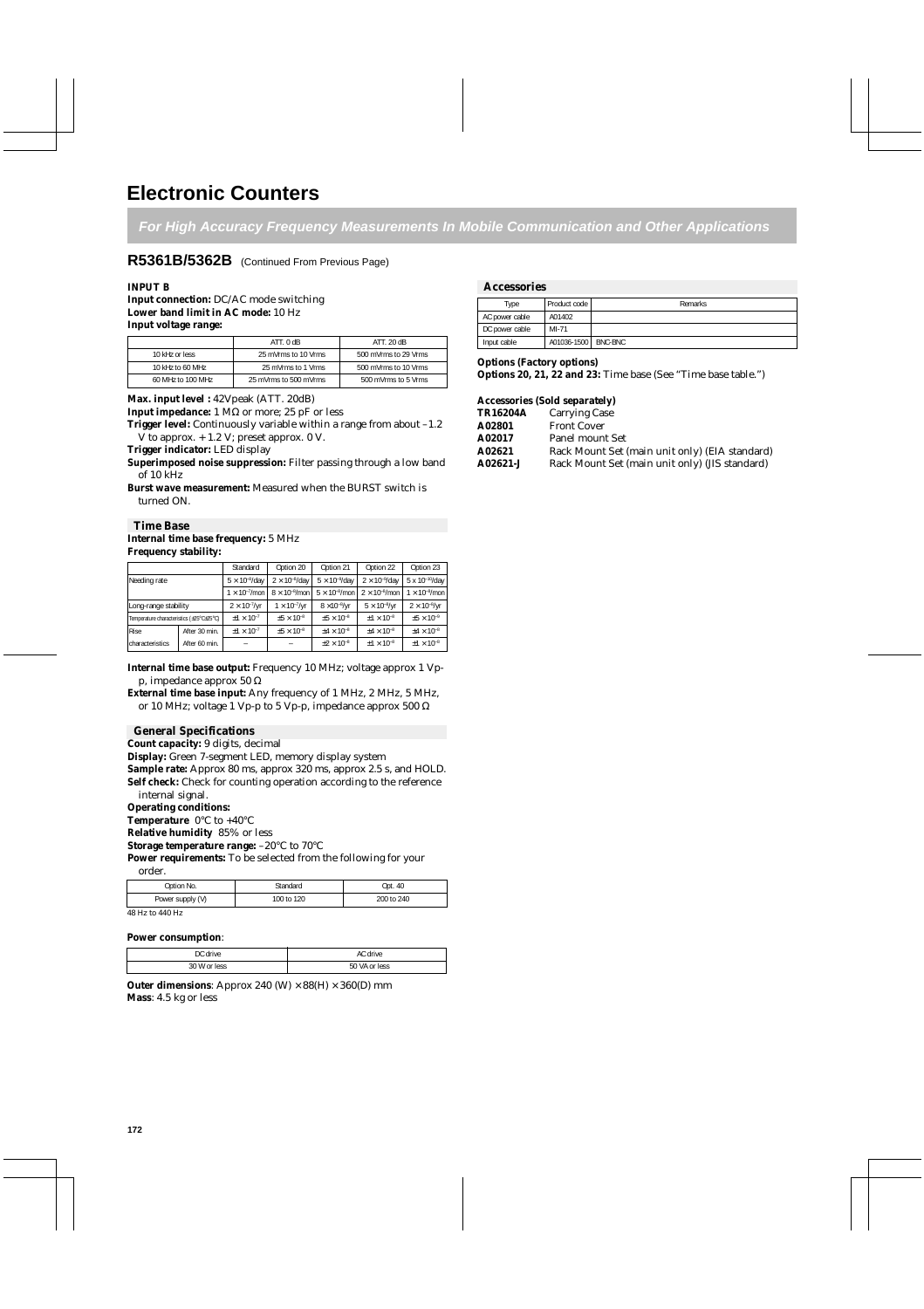**For High Accuracy Frequency Measurements In Mobile Communication and Other Applications**

### **R5361B/5362B** (Continued From Previous Page)

**Input connection:** DC/AC mode switching **Lower band limit in AC mode:** 10 Hz **Input voltage range:**

|                   | ATT.0dB               | ATT. 20 dB           |
|-------------------|-----------------------|----------------------|
| 10 kHz or less    | 25 mVrms to 10 Vrms   | 500 mVrms to 29 Vrms |
| 10 kHz to 60 MHz  | 25 mVrms to 1 Vrms    | 500 mVrms to 10 Vrms |
| 60 MHz to 100 MHz | 25 mVrms to 500 mVrms | 500 mVrms to 5 Vrms  |

**Max. input level :** 42Vpeak (ATT. 20dB)

**Input impedance:**  $1 \text{ M}\Omega$  or more; 25 pF or less

**Trigger level:** Continuously variable within a range from about  $-1.2$ V to approx. + 1.2 V; preset approx. 0 V.

**Trigger indicator:** LED display

**Superimposed noise suppression:** Filter passing through a low band of 10 kHz

**Burst wave measurement:** Measured when the BURST switch is turned ON.

#### **Time Base Internal time base frequency:** 5 MHz **Frequency stability:**

|                                          |               | Standard                | Option 20               | Option 21               | Option 22               | Option 23               |
|------------------------------------------|---------------|-------------------------|-------------------------|-------------------------|-------------------------|-------------------------|
| Needing rate                             |               | $5 \times 10^{-8}$ /day | $2 \times 10^{-8}$ /day | $5 \times 10^{-9}$ /day | $2 \times 10^{-9}$ /day | 5 x 10-10/day           |
|                                          |               | $1 \times 10^{-7}$ /mon | $8 \times 10^{-8}$ /mon | $5 \times 10^{-8}$ /mon | $2 \times 10^{-8}$ /mon | $1 \times 10^{-8}$ /mon |
| Long-range stability                     |               | $2 \times 10^{-7}$ /yr  | $1 \times 10^{-7}$ /yr  | $8 \times 10^{-8}$ /yr  | $5 \times 10^{-8}$ /yr  | $2 \times 10^{-8}$ /yr  |
| Temperature characteristics (±25°C±25°C) |               | $+1 \times 10^{-7}$     | $+5 \times 10^{-8}$     | $+5 \times 10^{-8}$     | $+1 \times 10^{-8}$     | $+5 \times 10^{-9}$     |
| <b>Rise</b>                              | After 30 min. | $+1 \times 10^{-7}$     | $+5 \times 10^{-8}$     | $+4 \times 10^{-8}$     | $+4 \times 10^{-8}$     | $+4 \times 10^{-8}$     |
| <b>characteristics</b>                   | After 60 min. |                         |                         | $\pm 2 \times 10^{-8}$  | $+1 \times 10^{-8}$     | $\pm 1 \times 10^{-8}$  |

**Internal time base output:** Frequency 10 MHz; voltage approx 1 Vpp, impedance approx 50 Ω

**External time base input:** Any frequency of 1 MHz, 2 MHz, 5 MHz, or 10 MHz; voltage 1 Vp-p to 5 Vp-p, impedance approx 500  $\Omega$ 

#### **General Specifications**

**Count capacity:** 9 digits, decimal

**Display:** Green 7-segment LED, memory display system

**Sample rate:** Approx 80 ms, approx 320 ms, approx 2.5 s, and HOLD. Self check: Check for counting operation according to the reference

internal signal.

**Operating conditions:**

**Temperature** 0°C to +40°C

**Relative humidity** 85% or less

**Storage temperature range:** –20°C to 70°C

**Power requirements:** To be selected from the following for your

| Option No.       | Standard   | Opt. 40    |
|------------------|------------|------------|
| Power supply (V) | 100 to 120 | 200 to 240 |
| 10 TT : 110 TT   |            |            |

#### 48 Hz to 440 Hz

#### **Power consumption**:

| חר<br>alwin co       |            |
|----------------------|------------|
| 30 W<br>P<br>nr<br>. | less<br>эı |

**Outer dimensions:** Approx 240 (W)  $\times$  88(H)  $\times$  360(D) mm **Mass**: 4.5 kg or less

#### **INPUT B** Accessories

| Type           | Product code          | Remarks |
|----------------|-----------------------|---------|
| AC power cable | A01402                |         |
| DC power cable | MI-71                 |         |
| Input cable    | A01036-1500   BNC-BNC |         |

#### **Options (Factory options)**

**Options 20, 21, 22 and 23:** Time base (See "Time base table.")

#### **Accessories (Sold separately)**

| TR16204A      | <b>Carrying Case</b>                           |
|---------------|------------------------------------------------|
| <b>A02801</b> | <b>Front Cover</b>                             |
| A02017        | Panel mount Set                                |
| A02621        | Rack Mount Set (main unit only) (EIA standard) |
| A02621-J      | Rack Mount Set (main unit only) (JIS standard) |